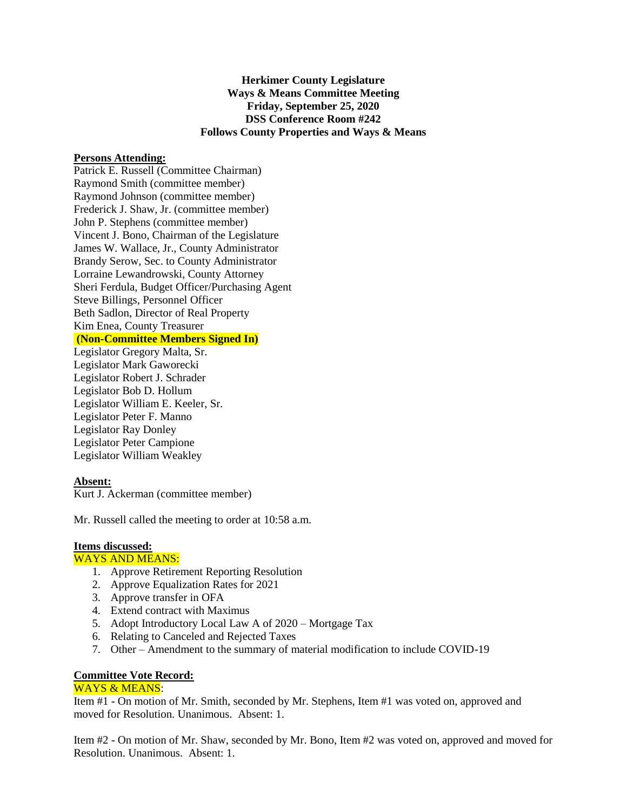**Herkimer County Legislature Ways & Means Committee Meeting Friday, September 25, 2020 DSS Conference Room #242 Follows County Properties and Ways & Means**

#### **Persons Attending:**

Patrick E. Russell (Committee Chairman) Raymond Smith (committee member) Raymond Johnson (committee member) Frederick J. Shaw, Jr. (committee member) John P. Stephens (committee member) Vincent J. Bono, Chairman of the Legislature James W. Wallace, Jr., County Administrator Brandy Serow, Sec. to County Administrator Lorraine Lewandrowski, County Attorney Sheri Ferdula, Budget Officer/Purchasing Agent Steve Billings, Personnel Officer Beth Sadlon, Director of Real Property Kim Enea, County Treasurer **(Non-Committee Members Signed In)**

Legislator Gregory Malta, Sr. Legislator Mark Gaworecki Legislator Robert J. Schrader Legislator Bob D. Hollum Legislator William E. Keeler, Sr. Legislator Peter F. Manno Legislator Ray Donley Legislator Peter Campione Legislator William Weakley

#### **Absent:**

Kurt J. Ackerman (committee member)

Mr. Russell called the meeting to order at 10:58 a.m.

## **Items discussed:**

### WAYS AND MEANS:

- 1. Approve Retirement Reporting Resolution
- 2. Approve Equalization Rates for 2021
- 3. Approve transfer in OFA
- 4. Extend contract with Maximus
- 5. Adopt Introductory Local Law A of 2020 Mortgage Tax
- 6. Relating to Canceled and Rejected Taxes
- 7. Other Amendment to the summary of material modification to include COVID-19

# **Committee Vote Record:**

### WAYS & MEANS:

Item #1 - On motion of Mr. Smith, seconded by Mr. Stephens, Item #1 was voted on, approved and moved for Resolution. Unanimous. Absent: 1.

Item #2 - On motion of Mr. Shaw, seconded by Mr. Bono, Item #2 was voted on, approved and moved for Resolution. Unanimous. Absent: 1.